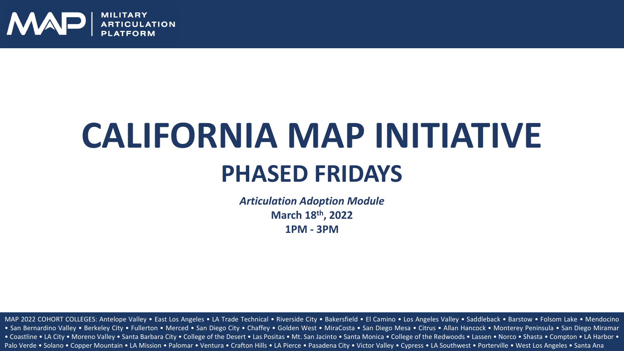

### **PHASED FRIDAYS CALIFORNIA MAP INITIATIVE**

*Articulation Adoption Module* **March 18th, 2022 1PM - 3PM**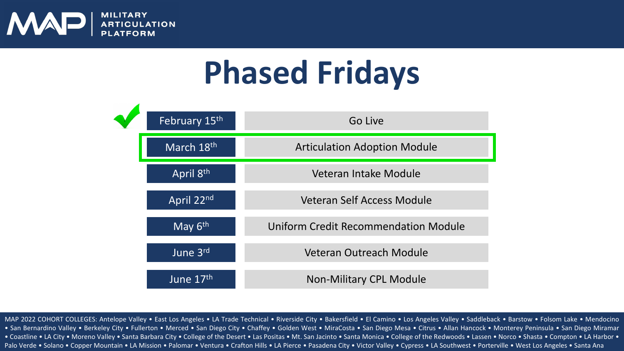

### **Phased Fridays**

| February 15th          | Go Live                              |
|------------------------|--------------------------------------|
| March 18 <sup>th</sup> | <b>Articulation Adoption Module</b>  |
| April 8th              | Veteran Intake Module                |
| April 22nd             | Veteran Self Access Module           |
| May $6th$              | Uniform Credit Recommendation Module |
| June 3rd               | Veteran Outreach Module              |
| June 17th              | <b>Non-Military CPL Module</b>       |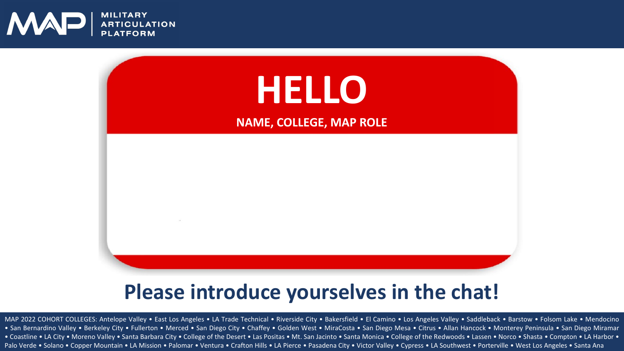



#### **Please introduce yourselves in the chat!**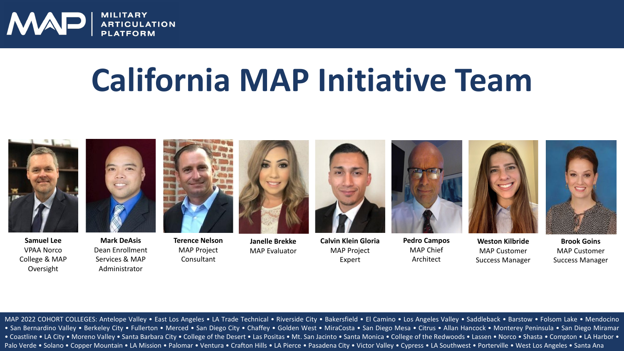

#### **California MAP Initiative Team**



**Samuel Lee** VPAA Norco College & MAP Oversight



Dean Enrollment Services & MAP Administrator

**Terence Nelson** MAP Project Consultant



**Janelle Brekke** MAP Evaluator



**Calvin Klein Gloria** MAP Project Expert



**Pedro Campos** MAP Chief Architect



**Weston Kilbride** MAP Customer Success Manager **Brook Goins** MAP Customer Success Manager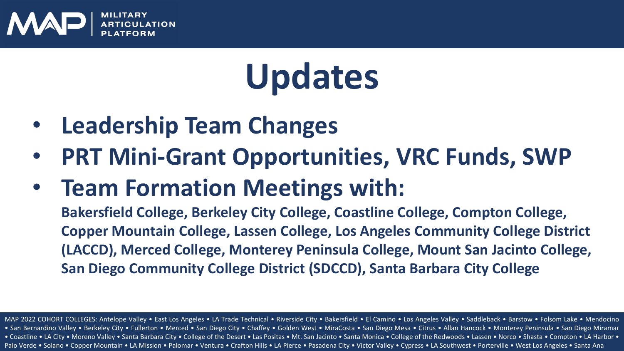

## **Updates**

- **Leadership Team Changes**
- **PRT Mini-Grant Opportunities, VRC Funds, SWP**
- **Team Formation Meetings with:**

**Bakersfield College, Berkeley City College, Coastline College, Compton College, Copper Mountain College, Lassen College, Los Angeles Community College District (LACCD), Merced College, Monterey Peninsula College, Mount San Jacinto College, San Diego Community College District (SDCCD), Santa Barbara City College**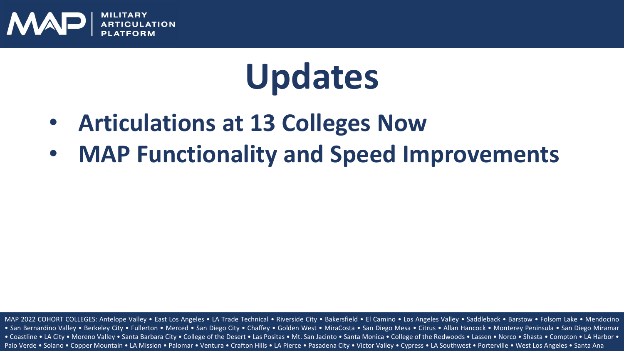

## **Updates**

- **Articulations at 13 Colleges Now**
- **MAP Functionality and Speed Improvements**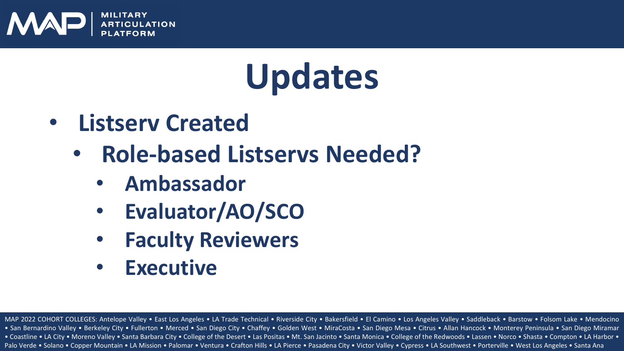

## **Updates**

- **Listserv Created**
	- **Role-based Listservs Needed?** 
		- **Ambassador**
		- **Evaluator/AO/SCO**
		- **Faculty Reviewers**
		- **Executive**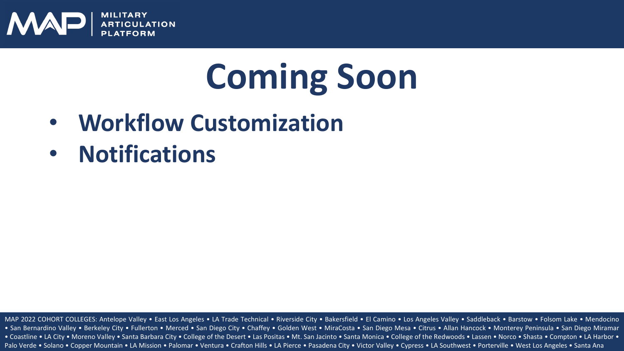

## **Coming Soon**

- **Workflow Customization**
- **Notifications**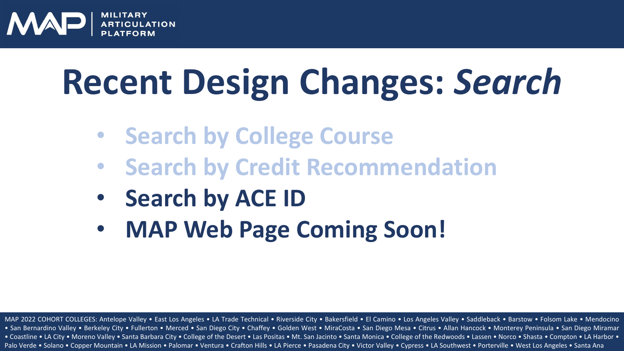

# **Recent Design Changes:** *Search*

- **Search by College Course**
- **Search by Credit Recommendation**
- **Search by ACE ID**
- **MAP Web Page Coming Soon!**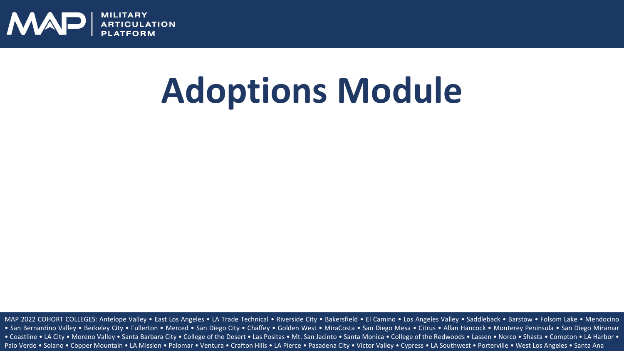

## **Adoptions Module**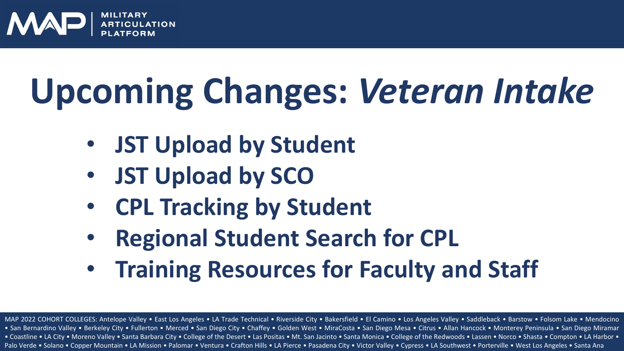

# **Upcoming Changes:** *Veteran Intake*

- **JST Upload by Student**
- **JST Upload by SCO**
- **CPL Tracking by Student**
- **Regional Student Search for CPL**
- **Training Resources for Faculty and Staff**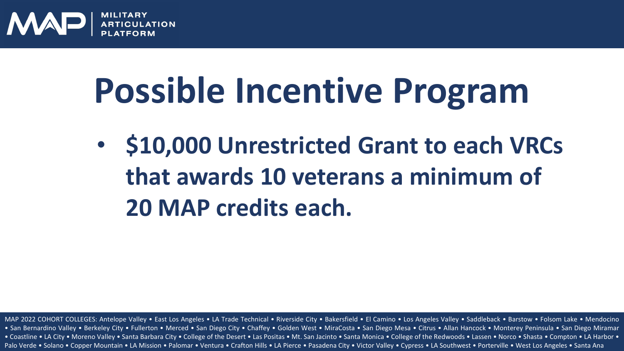

## **Possible Incentive Program**

• **\$10,000 Unrestricted Grant to each VRCs that awards 10 veterans a minimum of 20 MAP credits each.**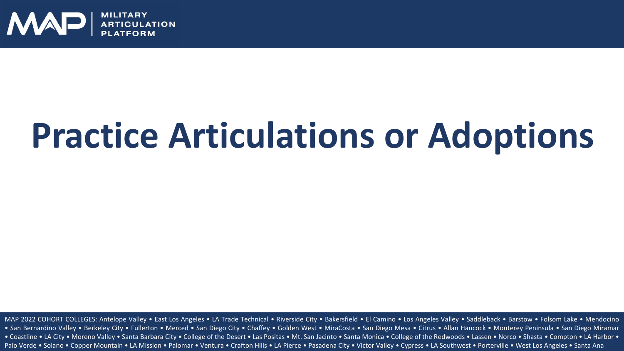

## **Practice Articulations or Adoptions**

MAP 2022 COHORT COLLEGES: Antelope Valley • East Los Angeles • LA Trade Technical • Riverside City • Bakersfield • El Camino • Los Angeles Valley • Saddleback • Barstow • Folsom Lake • Mendocino • San Bernardino Valley • Berkeley City • Fullerton • Merced • San Diego City • Chaffey • Golden West • MiraCosta • San Diego Mesa • Citrus • Allan Hancock • Monterey Peninsula • San Diego Miramar • Coastline • LA City • Moreno Valley • Santa Barbara City • College of the Desert • Las Positas • Mt. San Jacinto • Santa Monica • College of the Redwoods • Lassen • Norco • Shasta • Compton • LA Harbor •<br>Palo Verde • Sol Palo Verde • Solano • Copper Mountain • LA Mission • Palomar • Ventura • Crafton Hills • LA Pierce • Pasadena City • Victor Valley • Cypress • LA Southwest • Porterville • West Los Angeles • Santa Ana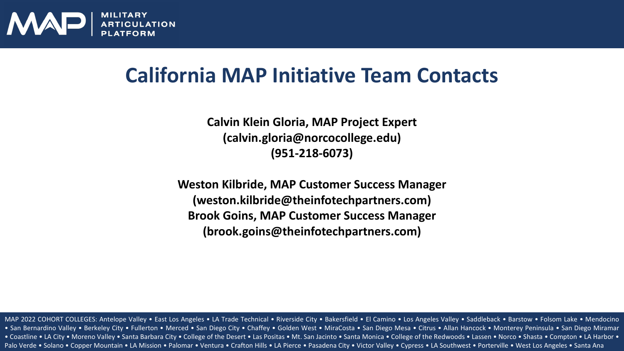

#### **California MAP Initiative Team Contacts**

**Calvin Klein Gloria, MAP Project Expert (calvin.gloria@norcocollege.edu) (951-218-6073)**

**Weston Kilbride, MAP Customer Success Manager (weston.kilbride@theinfotechpartners.com) Brook Goins, MAP Customer Success Manager (brook.goins@theinfotechpartners.com)**

MAP 2022 COHORT COLLEGES: Antelope Valley • East Los Angeles • LA Trade Technical • Riverside City • Bakersfield • El Camino • Los Angeles Valley • Saddleback • Barstow • Folsom Lake • Mendocino • San Bernardino Valley • Berkeley City • Fullerton • Merced • San Diego City • Chaffey • Golden West • MiraCosta • San Diego Mesa • Citrus • Allan Hancock • Monterey Peninsula • San Diego Miramar • Coastline • LA City • Moreno Valley • Santa Barbara City • College of the Desert • Las Positas • Mt. San Jacinto • Santa Monica • College of the Redwoods • Lassen • Norco • Shasta • Compton • LA Harbor •<br>Palo Verde • Sol Palo Verde • Solano • Copper Mountain • LA Mission • Palomar • Ventura • Crafton Hills • LA Pierce • Pasadena City • Victor Valley • Cypress • LA Southwest • Porterville • West Los Angeles • Santa Ana